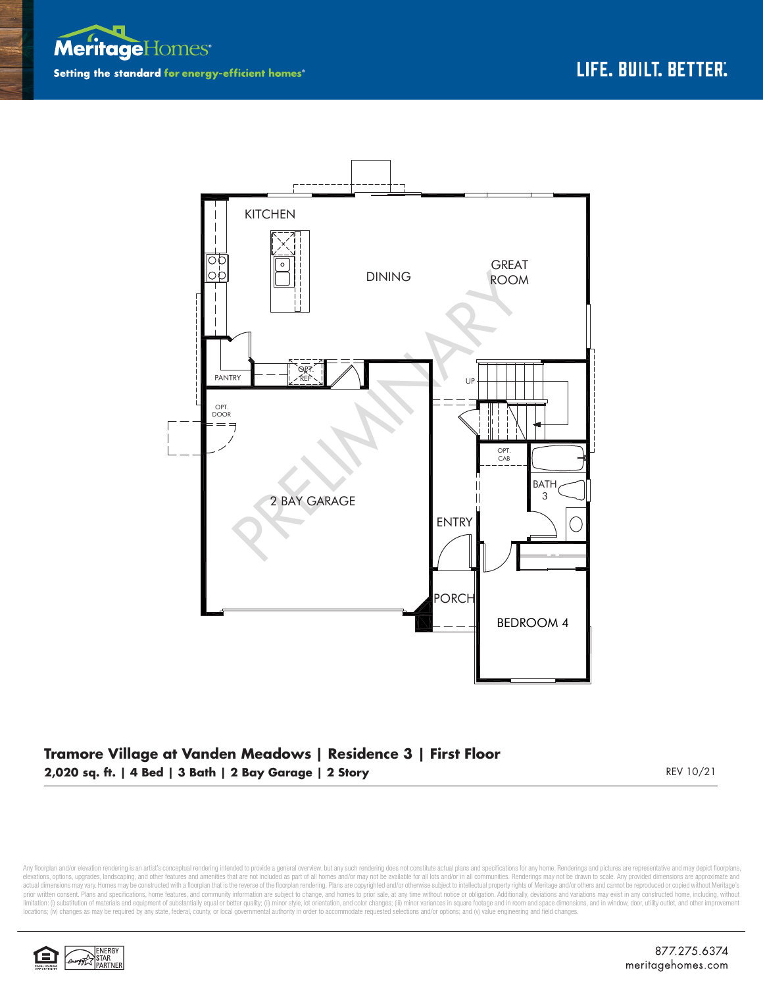



## **Tramore Village at Vanden Meadows | Residence 3 | First Floor 2,020 sq. ft. | 4 Bed | 3 Bath | 2 Bay Garage | 2 Story** REV 10/21

Any floorplan and/or elevation rendering is an artist's conceptual rendering intended to provide a general overview, but any such rendering does not constitute actual plans and specifications for any home. Renderings and p elevations, opions, upgrades, landscaping, and other features and amenities that are not included as part of all homes and/or may not be available for all lots and/or in all communities. Renderings may not be drawn to scal prior written consent. Plans and specifications, home features, and community information are subject to change, and homes to prior sale, at any time without notice or obligation. Additionally, deviations and variations ma limitation: (i) substitution of materials and equipment of substantially equal or better quality: (ii) minor style, lot orientation, and color changes: (iii) minor variances in square footage and in room and space dimensio locations; (iv) changes as may be required by any state, federal, county, or local governmental authority in order to accommodate requested selections and/or options; and (v) value engineering and field changes.